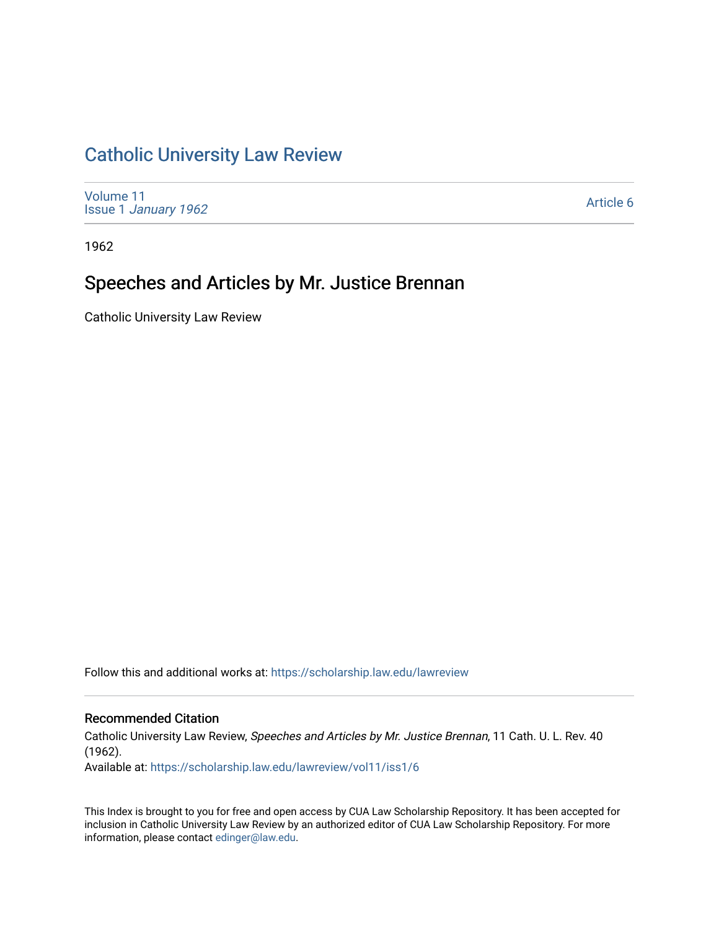## [Catholic University Law Review](https://scholarship.law.edu/lawreview)

[Volume 11](https://scholarship.law.edu/lawreview/vol11) Issue 1 [January 1962](https://scholarship.law.edu/lawreview/vol11/iss1)

[Article 6](https://scholarship.law.edu/lawreview/vol11/iss1/6) 

1962

## Speeches and Articles by Mr. Justice Brennan

Catholic University Law Review

Follow this and additional works at: [https://scholarship.law.edu/lawreview](https://scholarship.law.edu/lawreview?utm_source=scholarship.law.edu%2Flawreview%2Fvol11%2Fiss1%2F6&utm_medium=PDF&utm_campaign=PDFCoverPages)

#### Recommended Citation

Catholic University Law Review, Speeches and Articles by Mr. Justice Brennan, 11 Cath. U. L. Rev. 40 (1962).

Available at: [https://scholarship.law.edu/lawreview/vol11/iss1/6](https://scholarship.law.edu/lawreview/vol11/iss1/6?utm_source=scholarship.law.edu%2Flawreview%2Fvol11%2Fiss1%2F6&utm_medium=PDF&utm_campaign=PDFCoverPages)

This Index is brought to you for free and open access by CUA Law Scholarship Repository. It has been accepted for inclusion in Catholic University Law Review by an authorized editor of CUA Law Scholarship Repository. For more information, please contact [edinger@law.edu.](mailto:edinger@law.edu)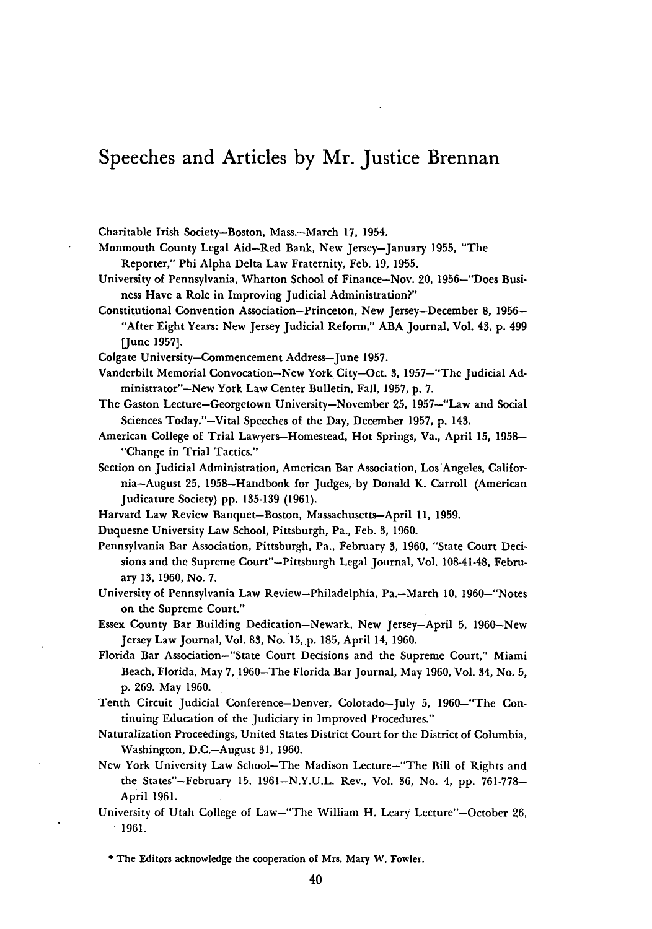### Speeches and Articles **by** Mr. Justice Brennan

Charitable Irish Society-Boston, Mass.-March **17,** 1954.

Monmouth County Legal Aid-Red Bank, New Jersey-January **1955,** "The Reporter," Phi Alpha Delta Law Fraternity, Feb. **19, 1955.**

University of Pennsylvania, Wharton School of Finance-Nov. 20, 1956-"Does Business Have a Role in Improving Judicial Administration?"

Constitutional Convention Association-Princeton, New Jersey-December **8, 1956-** "After Eight Years: New Jersey Judicial Reform," **ABA** Journal, Vol. 43, **p.** 499 [June **1957].**

Colgate University-Commencement Address-June **1957.**

Vanderbilt Memorial Convocation-New York City-Oct. 3, 1957-"The Judicial **Ad**ministrator"-New York Law Center Bulletin, Fall, **1957, p. 7.**

- The Gaston Lecture-Georgetown University-November **25,** 1957-"Law and Social Sciences Today."-Vital Speeches of the Day, December **1957, p.** 143.
- American College of Trial Lawyers-Homestead, Hot Springs, Va., April **15, 1958-** "Change in Trial Tactics."
- Section on Judicial Administration, American Bar Association, Los Angeles, California-August **25,** 1958-Handbook for Judges, **by** Donald K. Carroll (American Judicature Society) **pp. 135-139 (1961).**
- Harvard Law Review Banquet-Boston, Massachusetts-April **11, 1959.**
- Duquesne University Law School, Pittsburgh, Pa., Feb. 3, **1960.**
- Pennsylvania Bar Association, Pittsburgh, Pa., February 3, **1960,** "State Court Decisions and the Supreme Court"-Pittsburgh Legal Journal, Vol. 108-41-48, February **13, 1960,** No. **7.**
- University of Pennsylvania Law Review-Philadelphia, Pa.-March **10,** 1960-"Notes on the Supreme Court."
- Essex County Bar Building Dedication-Newark, New Jersey-April **5,** 1960-New Jersey Law Journal, Vol. **83,** No. **15,.p. 185,** April 14, **1960.**
- Florida Bar Association-"State Court Decisions and the Supreme Court," Miami Beach, Florida, May 7, 1960-The Florida Bar Journal, May **1960,** Vol. 34, No. **5, p. 269.** May **1960.**
- Tenth Circuit Judicial Conference-Denver, Colorado-July **5,** 1960-"The Continuing Education of the Judiciary in Improved Procedures."
- Naturalization Proceedings, United States District Court for the District of Columbia, Washington, D.C.-August **31, 1960.**
- New York University Law School-The Madison Lecture-"The Bill of Rights and the States"-February **15, 1961-N.Y.U.L.** Rev., Vol. **36,** No. 4, **pp. 761-778- Ap** ril **1961.**
- University of Utah College of Law-"The William H. Leary Lecture"-October **26, 1961.**

The Editors acknowledge the cooperation of Mrs. Mary **W,** Fowler.